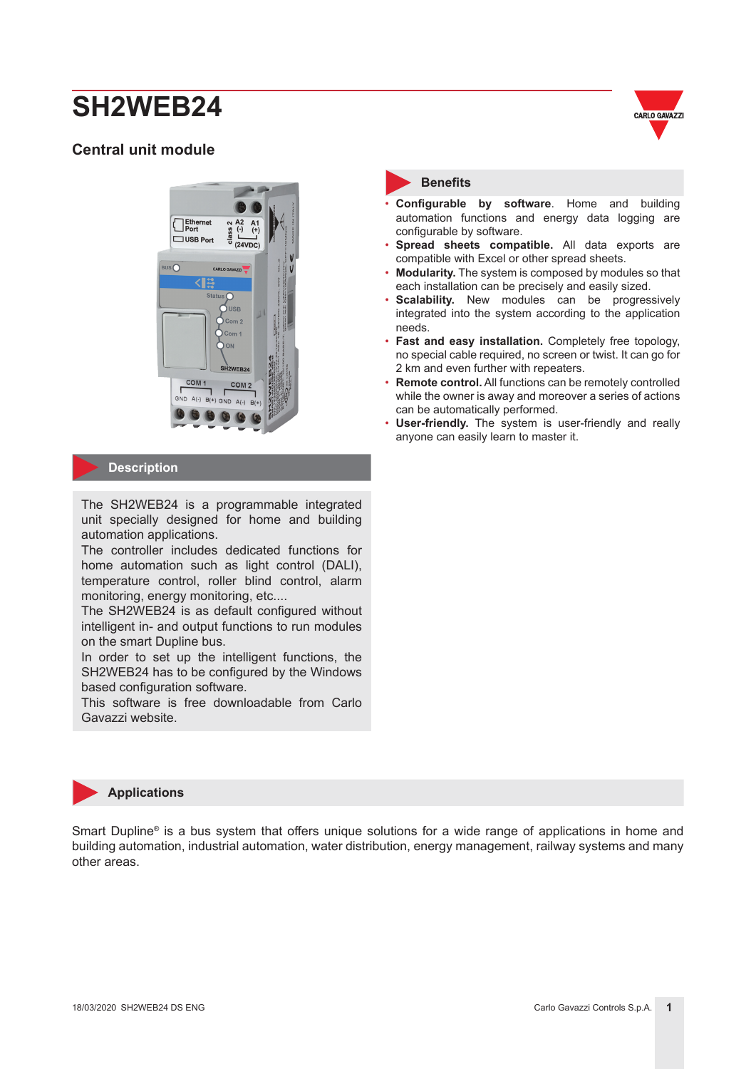## **Central unit module**



#### **Description**

The SH2WEB24 is a programmable integrated unit specially designed for home and building automation applications.

The controller includes dedicated functions for home automation such as light control (DALI), temperature control, roller blind control, alarm monitoring, energy monitoring, etc....

The SH2WEB24 is as default configured without intelligent in- and output functions to run modules on the smart Dupline bus.

In order to set up the intelligent functions, the SH2WEB24 has to be configured by the Windows based configuration software.

This software is free downloadable from Carlo Gavazzi website.



#### **Benefits**

- **Configurable by software**. Home and building automation functions and energy data logging are configurable by software.
- **Spread sheets compatible.** All data exports are compatible with Excel or other spread sheets.
- **Modularity.** The system is composed by modules so that each installation can be precisely and easily sized.
- **Scalability.** New modules can be progressively integrated into the system according to the application needs.
- **Fast and easy installation.** Completely free topology, no special cable required, no screen or twist. It can go for 2 km and even further with repeaters.
- **Remote control.** All functions can be remotely controlled while the owner is away and moreover a series of actions can be automatically performed.
- **User-friendly.** The system is user-friendly and really anyone can easily learn to master it.



Smart Dupline<sup>®</sup> is a bus system that offers unique solutions for a wide range of applications in home and building automation, industrial automation, water distribution, energy management, railway systems and many other areas.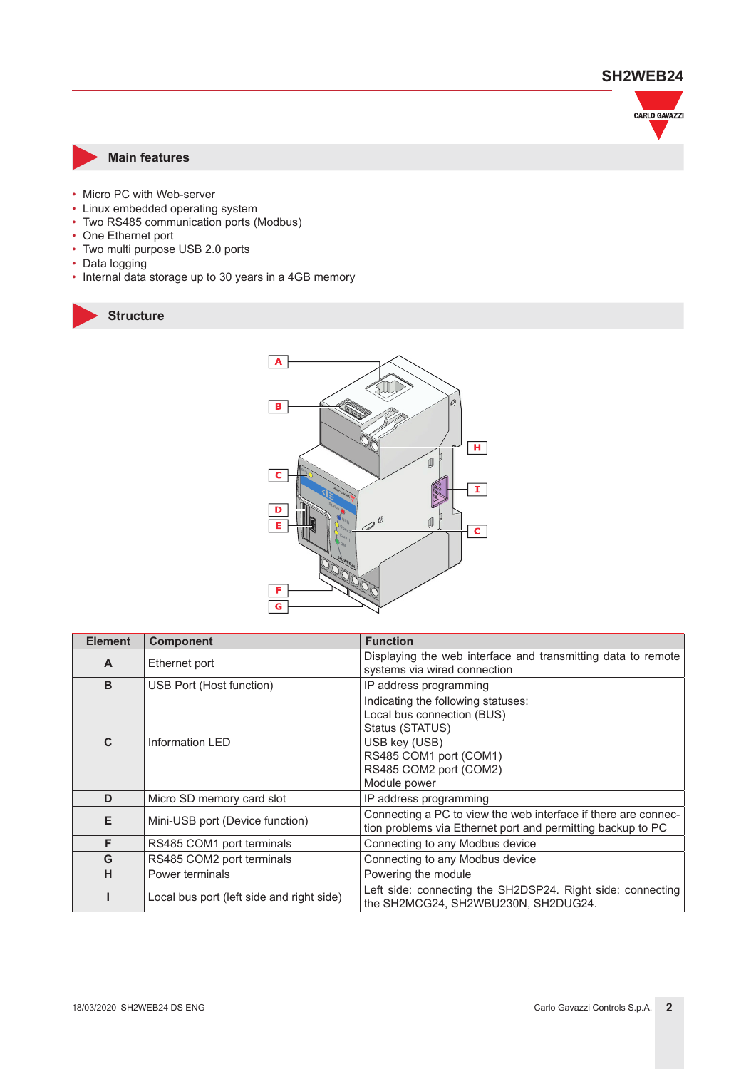

#### **Main features**

- Micro PC with Web-server
- Linux embedded operating system
- Two RS485 communication ports (Modbus)
- One Ethernet port
- Two multi purpose USB 2.0 ports
- Data logging
- Internal data storage up to 30 years in a 4GB memory





| <b>Element</b> | <b>Component</b>                          | <b>Function</b>                                                                                                                                                          |  |  |
|----------------|-------------------------------------------|--------------------------------------------------------------------------------------------------------------------------------------------------------------------------|--|--|
| $\mathbf{A}$   | Ethernet port                             | Displaying the web interface and transmitting data to remote<br>systems via wired connection                                                                             |  |  |
| B              | USB Port (Host function)                  | IP address programming                                                                                                                                                   |  |  |
| $\mathbf{C}$   | Information LED                           | Indicating the following statuses:<br>Local bus connection (BUS)<br>Status (STATUS)<br>USB key (USB)<br>RS485 COM1 port (COM1)<br>RS485 COM2 port (COM2)<br>Module power |  |  |
| D              | Micro SD memory card slot                 | IP address programming                                                                                                                                                   |  |  |
| Е              | Mini-USB port (Device function)           | Connecting a PC to view the web interface if there are connec-<br>tion problems via Ethernet port and permitting backup to PC                                            |  |  |
| F              | RS485 COM1 port terminals                 | Connecting to any Modbus device                                                                                                                                          |  |  |
| G              | RS485 COM2 port terminals                 | Connecting to any Modbus device                                                                                                                                          |  |  |
| н              | Power terminals                           | Powering the module                                                                                                                                                      |  |  |
|                | Local bus port (left side and right side) | Left side: connecting the SH2DSP24. Right side: connecting<br>the SH2MCG24, SH2WBU230N, SH2DUG24.                                                                        |  |  |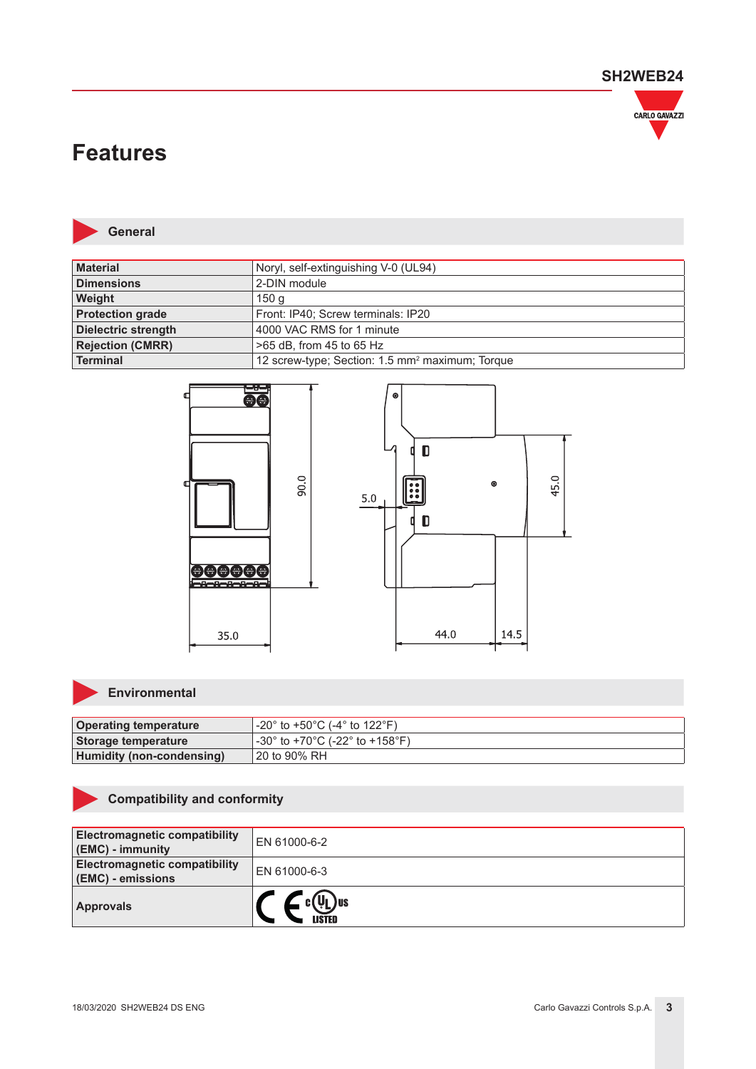

## **Features**



**General**

| <b>Material</b>            | Noryl, self-extinguishing V-0 (UL94)                        |
|----------------------------|-------------------------------------------------------------|
| <b>Dimensions</b>          | 2-DIN module                                                |
| Weight                     | 150 g                                                       |
| <b>Protection grade</b>    | Front: IP40; Screw terminals: IP20                          |
| <b>Dielectric strength</b> | 4000 VAC RMS for 1 minute                                   |
| <b>Rejection (CMRR)</b>    | >65 dB, from 45 to 65 Hz                                    |
| Terminal                   | 12 screw-type; Section: 1.5 mm <sup>2</sup> maximum; Torque |



## **Environmental**

| <b>Operating temperature</b>     | $-20^{\circ}$ to +50°C (-4° to 122°F). |
|----------------------------------|----------------------------------------|
| Storage temperature              | l -30° to +70°C (-22° to +158°F).      |
| <b>Humidity (non-condensing)</b> | 120 to 90% RH                          |

### **Compatibility and conformity**

| <b>Electromagnetic compatibility</b><br>(EMC) - immunity  | EN 61000-6-2             |
|-----------------------------------------------------------|--------------------------|
| <b>Electromagnetic compatibility</b><br>(EMC) - emissions | EN 61000-6-3             |
| <b>Approvals</b>                                          | VL ) us<br><b>\ISTED</b> |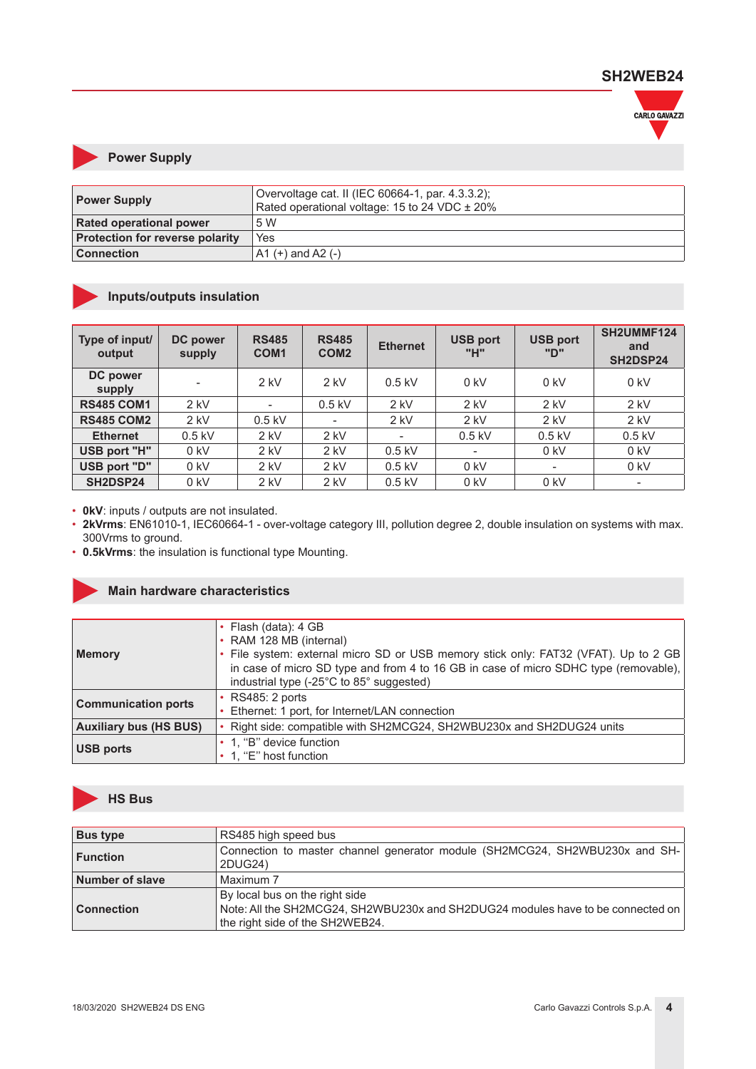![](_page_3_Picture_1.jpeg)

#### **Power Supply**

| <b>Power Supply</b>                    | Overvoltage cat. II (IEC 60664-1, par. 4.3.3.2);<br>Rated operational voltage: 15 to 24 VDC ± 20% |
|----------------------------------------|---------------------------------------------------------------------------------------------------|
| <b>Rated operational power</b>         | .5 W                                                                                              |
| <b>Protection for reverse polarity</b> | <b>Yes</b>                                                                                        |
| <b>Connection</b>                      | $A1 (+)$ and A2 $(-)$                                                                             |

## **Inputs/outputs insulation**

| Type of input/<br>output | DC power<br>supply | <b>RS485</b><br>COM <sub>1</sub> | <b>RS485</b><br>COM <sub>2</sub> | <b>Ethernet</b>          | <b>USB port</b><br>"H" | <b>USB port</b><br>"ח"   | SH2UMMF124<br>and<br>SH2DSP24 |
|--------------------------|--------------------|----------------------------------|----------------------------------|--------------------------|------------------------|--------------------------|-------------------------------|
| DC power<br>supply       |                    | $2$ kV                           | $2$ kV                           | $0.5$ kV                 | $0$ kV                 | $0$ kV                   | $0$ kV                        |
| <b>RS485 COM1</b>        | $2$ kV             | $\overline{\phantom{a}}$         | $0.5$ kV                         | $2$ kV                   | $2$ kV                 | $2$ kV                   | $2$ kV                        |
| <b>RS485 COM2</b>        | $2$ kV             | $0.5$ kV                         | $\overline{\phantom{a}}$         | $2$ kV                   | $2$ kV                 | $2$ kV                   | $2$ kV                        |
| <b>Ethernet</b>          | $0.5$ kV           | $2$ kV                           | $2$ kV                           | $\overline{\phantom{a}}$ | $0.5$ kV               | $0.5$ kV                 | $0.5$ kV                      |
| USB port "H"             | $0$ kV             | $2$ kV                           | $2$ kV                           | $0.5$ kV                 |                        | $0$ kV                   | $0$ kV                        |
| USB port "D"             | $0$ kV             | $2$ kV                           | $2$ kV                           | $0.5$ kV                 | $0$ kV                 | $\overline{\phantom{a}}$ | $0$ kV                        |
| SH2DSP24                 | $0$ kV             | $2$ kV                           | $2$ kV                           | $0.5$ kV                 | $0$ kV                 | $0$ kV                   |                               |

• **0kV**: inputs / outputs are not insulated.

• 2kVrms: EN61010-1, IEC60664-1 - over-voltage category III, pollution degree 2, double insulation on systems with max. 300Vrms to ground.

• **0.5kVrms**: the insulation is functional type Mounting.

#### **Main hardware characteristics**

| Memory                        | • Flash (data): $4$ GB<br>• RAM 128 MB (internal)<br>. File system: external micro SD or USB memory stick only: FAT32 (VFAT). Up to 2 GB<br>in case of micro SD type and from 4 to 16 GB in case of micro SDHC type (removable),<br>industrial type (-25°C to 85° suggested) |
|-------------------------------|------------------------------------------------------------------------------------------------------------------------------------------------------------------------------------------------------------------------------------------------------------------------------|
| <b>Communication ports</b>    | <b>RS485: 2 ports</b><br>Ethernet: 1 port, for Internet/LAN connection                                                                                                                                                                                                       |
| <b>Auxiliary bus (HS BUS)</b> | Right side: compatible with SH2MCG24, SH2WBU230x and SH2DUG24 units                                                                                                                                                                                                          |
| <b>USB ports</b>              | • 1, "B" device function<br>1, "E" host function                                                                                                                                                                                                                             |

![](_page_3_Picture_11.jpeg)

| <b>Bus type</b>   | RS485 high speed bus                                                                                                                                 |
|-------------------|------------------------------------------------------------------------------------------------------------------------------------------------------|
| ∣ Function        | Connection to master channel generator module (SH2MCG24, SH2WBU230x and SH-<br>2DUG24)                                                               |
| Number of slave   | Maximum 7                                                                                                                                            |
| <b>Connection</b> | By local bus on the right side<br>Note: All the SH2MCG24, SH2WBU230x and SH2DUG24 modules have to be connected on<br>the right side of the SH2WEB24. |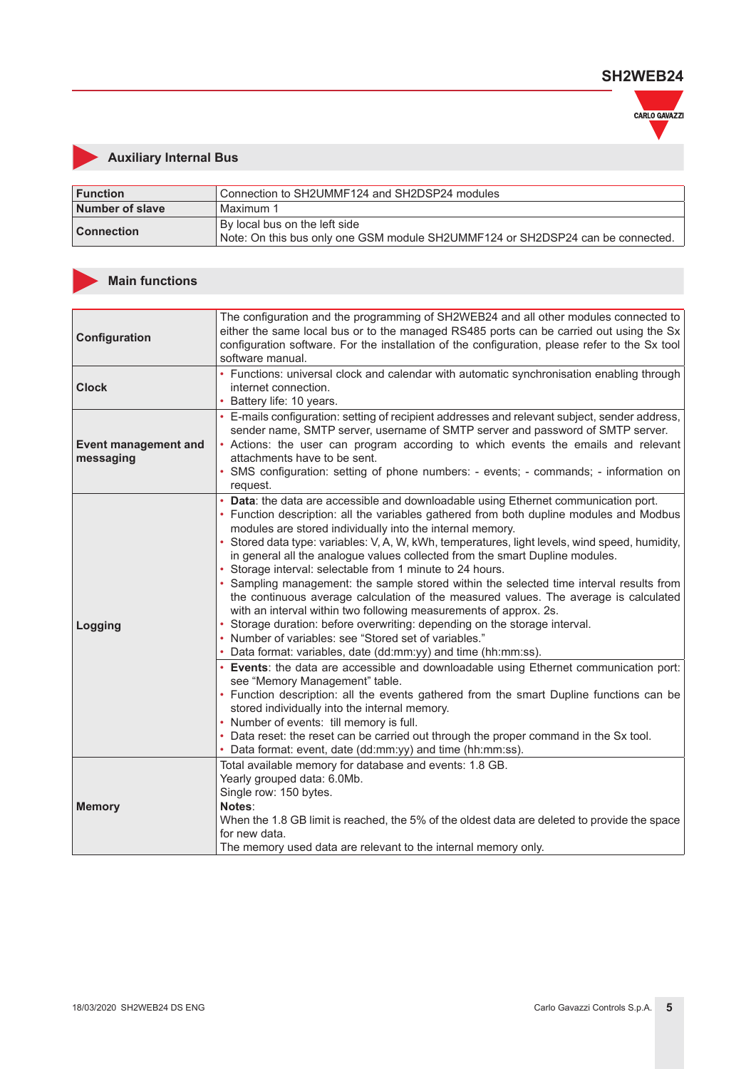![](_page_4_Picture_1.jpeg)

## **Auxiliary Internal Bus**

| $\blacksquare$ Function | Connection to SH2UMMF124 and SH2DSP24 modules                                                                   |
|-------------------------|-----------------------------------------------------------------------------------------------------------------|
| Number of slave         | Maximum 1                                                                                                       |
| <b>Connection</b>       | By local bus on the left side<br>Note: On this bus only one GSM module SH2UMMF124 or SH2DSP24 can be connected. |

#### **Main functions**

| Configuration                            | The configuration and the programming of SH2WEB24 and all other modules connected to<br>either the same local bus or to the managed RS485 ports can be carried out using the Sx<br>configuration software. For the installation of the configuration, please refer to the Sx tool<br>software manual.                                                                                                                                                                                                                                                                                                                                                                                                                                                                                                                                                                                                                                                                                                                                                                                                                                                                             |
|------------------------------------------|-----------------------------------------------------------------------------------------------------------------------------------------------------------------------------------------------------------------------------------------------------------------------------------------------------------------------------------------------------------------------------------------------------------------------------------------------------------------------------------------------------------------------------------------------------------------------------------------------------------------------------------------------------------------------------------------------------------------------------------------------------------------------------------------------------------------------------------------------------------------------------------------------------------------------------------------------------------------------------------------------------------------------------------------------------------------------------------------------------------------------------------------------------------------------------------|
| <b>Clock</b>                             | • Functions: universal clock and calendar with automatic synchronisation enabling through<br>internet connection.<br>• Battery life: 10 years.                                                                                                                                                                                                                                                                                                                                                                                                                                                                                                                                                                                                                                                                                                                                                                                                                                                                                                                                                                                                                                    |
| <b>Event management and</b><br>messaging | • E-mails configuration: setting of recipient addresses and relevant subject, sender address,<br>sender name, SMTP server, username of SMTP server and password of SMTP server.<br>• Actions: the user can program according to which events the emails and relevant<br>attachments have to be sent.<br>· SMS configuration: setting of phone numbers: - events; - commands; - information on<br>request.                                                                                                                                                                                                                                                                                                                                                                                                                                                                                                                                                                                                                                                                                                                                                                         |
| Logging                                  | • Data: the data are accessible and downloadable using Ethernet communication port.<br>• Function description: all the variables gathered from both dupline modules and Modbus<br>modules are stored individually into the internal memory.<br>• Stored data type: variables: V, A, W, kWh, temperatures, light levels, wind speed, humidity,<br>in general all the analogue values collected from the smart Dupline modules.<br>• Storage interval: selectable from 1 minute to 24 hours.<br>• Sampling management: the sample stored within the selected time interval results from<br>the continuous average calculation of the measured values. The average is calculated<br>with an interval within two following measurements of approx. 2s.<br>• Storage duration: before overwriting: depending on the storage interval.<br>• Number of variables: see "Stored set of variables."<br>• Data format: variables, date (dd:mm:yy) and time (hh:mm:ss).<br>• Events: the data are accessible and downloadable using Ethernet communication port:<br>see "Memory Management" table.<br>• Function description: all the events gathered from the smart Dupline functions can be |
|                                          | stored individually into the internal memory.<br>• Number of events: till memory is full.<br>• Data reset: the reset can be carried out through the proper command in the Sx tool.<br>• Data format: event, date (dd:mm:yy) and time (hh:mm:ss).                                                                                                                                                                                                                                                                                                                                                                                                                                                                                                                                                                                                                                                                                                                                                                                                                                                                                                                                  |
| <b>Memory</b>                            | Total available memory for database and events: 1.8 GB.<br>Yearly grouped data: 6.0Mb.<br>Single row: 150 bytes.<br>Notes:<br>When the 1.8 GB limit is reached, the 5% of the oldest data are deleted to provide the space<br>for new data.<br>The memory used data are relevant to the internal memory only.                                                                                                                                                                                                                                                                                                                                                                                                                                                                                                                                                                                                                                                                                                                                                                                                                                                                     |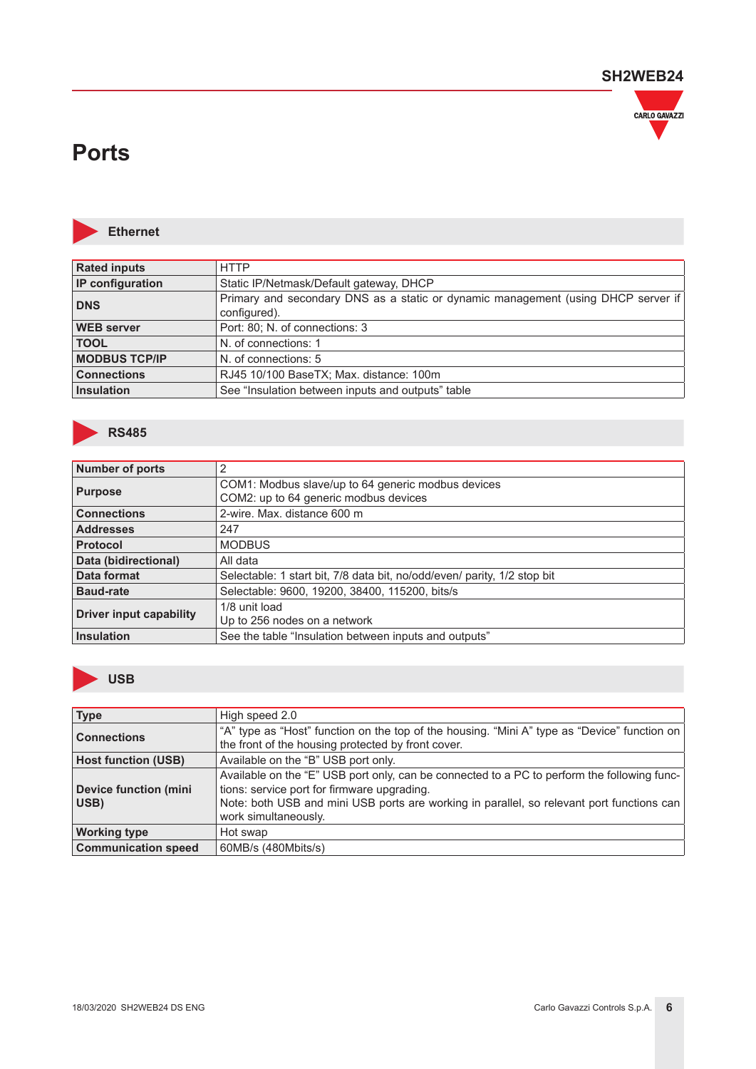![](_page_5_Picture_1.jpeg)

## **Ports**

![](_page_5_Picture_3.jpeg)

**Ethernet**

| <b>Rated inputs</b>     | <b>HTTP</b>                                                                                       |
|-------------------------|---------------------------------------------------------------------------------------------------|
| <b>IP</b> configuration | Static IP/Netmask/Default gateway, DHCP                                                           |
| <b>DNS</b>              | Primary and secondary DNS as a static or dynamic management (using DHCP server if<br>configured). |
| <b>WEB</b> server       | Port: 80; N. of connections: 3                                                                    |
| <b>TOOL</b>             | N. of connections: 1                                                                              |
| <b>MODBUS TCP/IP</b>    | N. of connections: 5                                                                              |
| <b>Connections</b>      | RJ45 10/100 BaseTX; Max. distance: 100m                                                           |
| Insulation              | See "Insulation between inputs and outputs" table                                                 |

![](_page_5_Picture_6.jpeg)

| <b>Number of ports</b>         | 2                                                                        |
|--------------------------------|--------------------------------------------------------------------------|
| <b>Purpose</b>                 | COM1: Modbus slave/up to 64 generic modbus devices                       |
|                                | COM2: up to 64 generic modbus devices                                    |
| <b>Connections</b>             | 2-wire. Max. distance 600 m                                              |
| <b>Addresses</b>               | 247                                                                      |
| <b>Protocol</b>                | <b>MODBUS</b>                                                            |
| Data (bidirectional)           | All data                                                                 |
| Data format                    | Selectable: 1 start bit, 7/8 data bit, no/odd/even/ parity, 1/2 stop bit |
| <b>Baud-rate</b>               | Selectable: 9600, 19200, 38400, 115200, bits/s                           |
| <b>Driver input capability</b> | 1/8 unit load                                                            |
|                                | Up to 256 nodes on a network                                             |
| <b>Insulation</b>              | See the table "Insulation between inputs and outputs"                    |

![](_page_5_Picture_8.jpeg)

| <b>Type</b>                          | High speed 2.0                                                                                                                                                                                                                                                  |
|--------------------------------------|-----------------------------------------------------------------------------------------------------------------------------------------------------------------------------------------------------------------------------------------------------------------|
| <b>Connections</b>                   | "A" type as "Host" function on the top of the housing. "Mini A" type as "Device" function on<br>the front of the housing protected by front cover.                                                                                                              |
| <b>Host function (USB)</b>           | Available on the "B" USB port only.                                                                                                                                                                                                                             |
| <b>Device function (mini</b><br>USB) | Available on the "E" USB port only, can be connected to a PC to perform the following func-<br>tions: service port for firmware upgrading.<br>Note: both USB and mini USB ports are working in parallel, so relevant port functions can<br>work simultaneously. |
| <b>Working type</b>                  | Hot swap                                                                                                                                                                                                                                                        |
| <b>Communication speed</b>           | 60MB/s (480Mbits/s)                                                                                                                                                                                                                                             |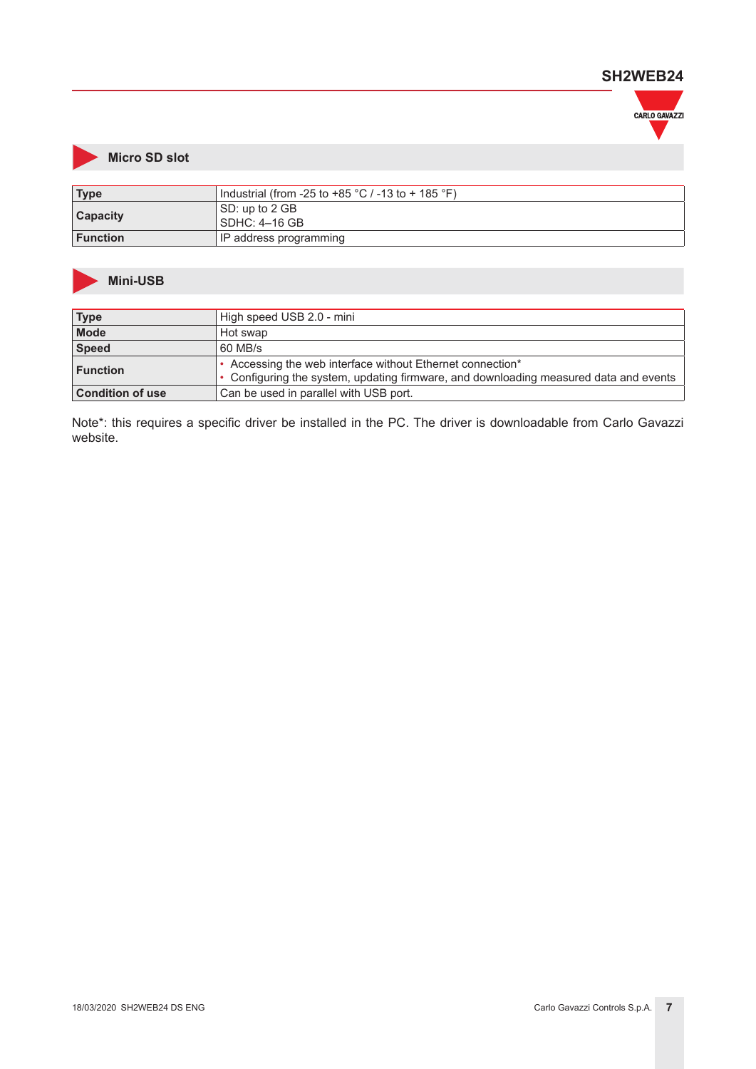![](_page_6_Picture_1.jpeg)

## **Micro SD slot**

| Type            | Industrial (from -25 to +85 $^{\circ}$ C / -13 to + 185 $^{\circ}$ F) |  |
|-----------------|-----------------------------------------------------------------------|--|
| <b>Capacity</b> | SD: up to 2 GB<br>  SDHC: 4–16 GB                                     |  |
| <b>Function</b> | IP address programming                                                |  |

#### **Mini-USB**

| <b>Type</b>             | High speed USB 2.0 - mini                                                             |  |  |
|-------------------------|---------------------------------------------------------------------------------------|--|--|
| <b>Mode</b>             | Hot swap                                                                              |  |  |
| Speed                   | 60 MB/s                                                                               |  |  |
| ∣ Function              | • Accessing the web interface without Ethernet connection*                            |  |  |
|                         | • Configuring the system, updating firmware, and downloading measured data and events |  |  |
| <b>Condition of use</b> | Can be used in parallel with USB port.                                                |  |  |

Note\*: this requires a specific driver be installed in the PC. The driver is downloadable from Carlo Gavazzi website.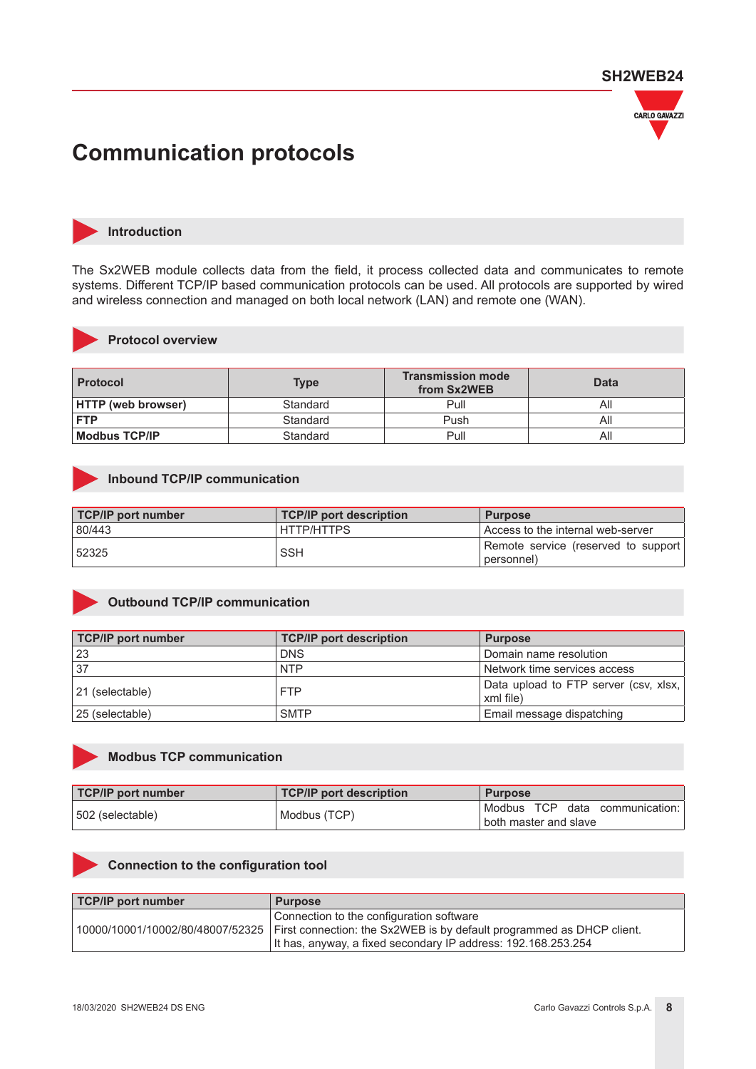![](_page_7_Picture_1.jpeg)

## **Communication protocols**

![](_page_7_Picture_3.jpeg)

#### **Introduction**

The Sx2WEB module collects data from the field, it process collected data and communicates to remote systems. Different TCP/IP based communication protocols can be used. All protocols are supported by wired and wireless connection and managed on both local network (LAN) and remote one (WAN).

![](_page_7_Picture_6.jpeg)

#### **Protocol overview**

| <b>Protocol</b>           | Type     | <b>Transmission mode</b><br>from Sx2WEB | <b>Data</b> |
|---------------------------|----------|-----------------------------------------|-------------|
| <b>HTTP (web browser)</b> | Standard | Pull                                    | All         |
| <b>FTP</b>                | Standard | Push                                    | Αll         |
| <b>Modbus TCP/IP</b>      | Standard | Pull                                    | Αll         |

#### **Inbound TCP/IP communication**

| <b>TCP/IP port number</b> | <b>TCP/IP port description</b> | <b>Purpose</b>                                      |
|---------------------------|--------------------------------|-----------------------------------------------------|
| 80/443                    | HTTP/HTTPS                     | l Access to the internal web-server                 |
| 52325                     | <b>SSH</b>                     | Remote service (reserved to support)<br>(personnel) |

#### **Outbound TCP/IP communication**

| <b>TCP/IP port number</b> | <b>TCP/IP port description</b> | <b>Purpose</b>                                       |
|---------------------------|--------------------------------|------------------------------------------------------|
| 23                        | <b>DNS</b>                     | Domain name resolution                               |
| 37                        | <b>NTP</b>                     | Network time services access                         |
| 21 (selectable)           | <b>FTP</b>                     | Data upload to FTP server (csv, xlsx,  <br>xml file) |
| 25 (selectable)           | <b>SMTP</b>                    | Email message dispatching                            |

![](_page_7_Picture_13.jpeg)

### **Modbus TCP communication**

| <b>TCP/IP port number</b> | TCP/IP port description | <b>Purpose</b>                 |
|---------------------------|-------------------------|--------------------------------|
| 502 (selectable)          | Modbus (TCP)            | Modbus TCP data communication: |
|                           |                         | I both master and slave        |

#### **Connection to the configuration tool**

| <b>TCP/IP port number</b> | <b>Purpose</b>                                                                                                                                                                                                        |
|---------------------------|-----------------------------------------------------------------------------------------------------------------------------------------------------------------------------------------------------------------------|
|                           | Connection to the configuration software<br>$10000/10001/10002/80/48007/52325$ First connection: the Sx2WEB is by default programmed as DHCP client.<br>It has, anyway, a fixed secondary IP address: 192.168.253.254 |